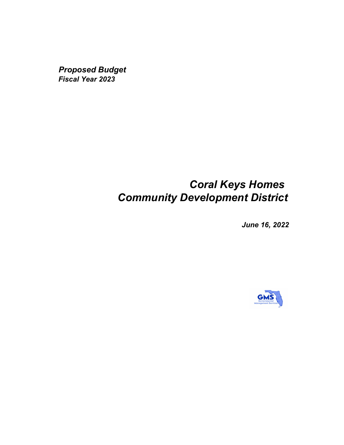*Proposed Budget Fiscal Year 2023*

# *Coral Keys Homes Community Development District*

*June 16, 2022*

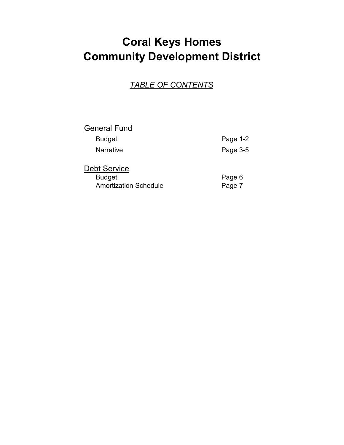# **Coral Keys Homes Community Development District**

### *TABLE OF CONTENTS*

# **General Fund** Budget Page 1-2 Narrative **Page 3-5** Debt Service

| Budget                       | Page 6 |
|------------------------------|--------|
| <b>Amortization Schedule</b> | Page 7 |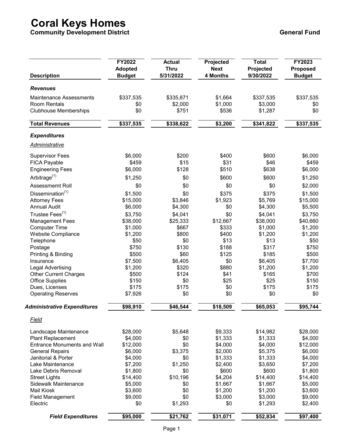**Community Development District General Fund**

| <b>Description</b>                 | <b>FY2022</b>  | <b>Actual</b> | Projected       | <b>Total</b> | FY2023          |
|------------------------------------|----------------|---------------|-----------------|--------------|-----------------|
|                                    | <b>Adopted</b> | <b>Thru</b>   | <b>Next</b>     | Projected    | <b>Proposed</b> |
|                                    | <b>Budget</b>  | 5/31/2022     | <b>4 Months</b> | 9/30/2022    | <b>Budget</b>   |
| <b>Revenues</b>                    |                |               |                 |              |                 |
| <b>Maintenance Assessments</b>     | \$337,535      | \$335,871     | \$1,664         | \$337,535    | \$337,535       |
| Room Rentals                       | \$0            | \$2,000       | \$1,000         | \$3,000      | \$0             |
| <b>Clubhouse Memberships</b>       | \$0            | \$751         | \$536           | \$1,287      | \$0             |
| <b>Total Revenues</b>              | \$337,535      | \$338,622     | \$3,200         | \$341,822    | \$337,535       |
| <b>Expenditures</b>                |                |               |                 |              |                 |
| <b>Administrative</b>              |                |               |                 |              |                 |
| <b>Supervisor Fees</b>             | \$6,000        | \$200         | \$400           | \$600        | \$6,000         |
| FICA Payable                       | \$459          | \$15          | \$31            | \$46         | \$459           |
| <b>Engineering Fees</b>            | \$6,000        | \$128         | \$510           | \$638        | \$6,000         |
| Arbitrage $(1)$                    | \$1,250        | \$0           | \$600           | \$600        | \$1,250         |
| Assessmemt Roll                    | \$0            | \$0           | \$0             | \$0          | \$2,000         |
| Dissemination <sup>(1)</sup>       | \$1,500        | \$0           | \$375           | \$375        | \$1,500         |
| <b>Attorney Fees</b>               | \$15,000       | \$3,846       | \$1,923         | \$5,769      | \$15,000        |
| <b>Annual Audit</b>                | \$6,000        | \$4,300       | \$0             | \$4,300      | \$5,500         |
| Trustee Fees <sup>(1)</sup>        | \$3,750        | \$4,041       | \$0             | \$4,041      | \$3,750         |
| <b>Management Fees</b>             | \$38,000       | \$25,333      | \$12,667        | \$38,000     | \$40,660        |
| <b>Computer Time</b>               | \$1,000        | \$667         | \$333           | \$1,000      | \$1,200         |
| <b>Website Compliance</b>          | \$1,200        | \$800         | \$400           | \$1,200      | \$1,200         |
| Telephone                          | \$50           | \$0           | \$13            | \$13         | \$50            |
| Postage                            | \$750          | \$130         | \$188           | \$317        | \$750           |
| Printing & Binding                 | \$500          | \$60          | \$125           | \$185        | \$500           |
| Insurance                          | \$7,500        | \$6,405       | \$0             | \$6,405      | \$7,700         |
| Legal Advertising                  | \$1,200        | \$320         | \$880           | \$1,200      | \$1,200         |
| <b>Other Current Charges</b>       | \$500          | \$124         | \$41            | \$165        | \$700           |
| <b>Office Supplies</b>             | \$150          | \$0           | \$25            | \$25         | \$150           |
| Dues, Licenses                     | \$175          | \$175         | \$0             | \$175        | \$175           |
| <b>Operating Reserves</b>          | \$7,926        | \$0           | \$0             | \$0          | \$0             |
| <b>Administrative Expenditures</b> | \$98,910       | \$46,544      | \$18,509        | \$65,053     | \$95,744        |
| Field                              |                |               |                 |              |                 |
| Landscape Maintenance              | \$28,000       | \$5,648       | \$9,333         | \$14,982     | \$28,000        |
| <b>Plant Replacement</b>           | \$4,000        | \$0           | \$1,333         | \$1,333      | \$4,000         |
| <b>Entrance Monuments and Wall</b> | \$12,000       | \$0           | \$4,000         | \$4,000      | \$12,000        |
| <b>General Repairs</b>             | \$6,000        | \$3,375       | \$2,000         | \$5,375      | \$6,000         |
| Janitorial & Porter                | \$4,000        | \$0           | \$1,333         | \$1,333      | \$4,000         |
| Lake Maintenance                   | \$7,200        | \$1,250       | \$2,400         | \$3,650      | \$7,200         |
| Lake Debris Removal                | \$1,800        | \$0           | \$600           | \$600        | \$1,800         |
| <b>Street Lights</b>               | \$14,400       | \$10,196      | \$4,204         | \$14,400     | \$14,400        |
| Sidewalk Maintenance               | \$5,000        | \$0           | \$1,667         | \$1,667      | \$5,000         |
| <b>Mail Kiosk</b>                  | \$3,600        | \$0           | \$1,200         | \$1,200      | \$3,600         |
| <b>Field Management</b>            | \$9,000        | \$0           | \$3,000         | \$3,000      | \$9,000         |
| Electric                           | \$0            | \$1,293       | \$0             | \$1,293      | \$2,400         |
| <b>Field Expenditures</b>          | \$95,000       | \$21,762      | \$31,071        | \$52,834     | \$97,400        |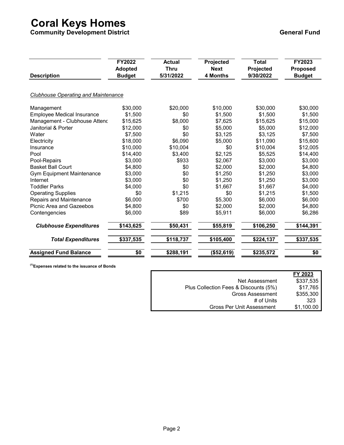**Community Development District General Fund**

| <b>Description</b>                         | FY2022<br><b>Adopted</b><br><b>Budget</b> | <b>Actual</b><br><b>Thru</b><br>5/31/2022 | Projected<br><b>Next</b><br>4 Months | <b>Total</b><br>Projected<br>9/30/2022 | FY2023<br><b>Proposed</b><br><b>Budget</b> |
|--------------------------------------------|-------------------------------------------|-------------------------------------------|--------------------------------------|----------------------------------------|--------------------------------------------|
| <b>Clubhouse Operating and Maintenance</b> |                                           |                                           |                                      |                                        |                                            |
| Management                                 | \$30,000                                  | \$20,000                                  | \$10,000                             | \$30,000                               | \$30,000                                   |
| <b>Employee Medical Insurance</b>          | \$1,500                                   | \$0                                       | \$1,500                              | \$1,500                                | \$1,500                                    |
| Management - Clubhouse Attenc              | \$15,625                                  | \$8,000                                   | \$7,625                              | \$15,625                               | \$15,000                                   |
| Janitorial & Porter                        | \$12,000                                  | \$0                                       | \$5,000                              | \$5,000                                | \$12,000                                   |
| Water                                      | \$7,500                                   | \$0                                       | \$3,125                              | \$3,125                                | \$7,500                                    |
| Electricity                                | \$18,000                                  | \$6,090                                   | \$5,000                              | \$11,090                               | \$15,600                                   |
| Insurance                                  | \$10,000                                  | \$10,004                                  | \$0                                  | \$10,004                               | \$12,005                                   |
| Pool                                       | \$14,400                                  | \$3,400                                   | \$2,125                              | \$5,525                                | \$14,400                                   |
| Pool-Repairs                               | \$3,000                                   | \$933                                     | \$2,067                              | \$3,000                                | \$3,000                                    |
| <b>Basket Ball Court</b>                   | \$4,800                                   | \$0                                       | \$2,000                              | \$2,000                                | \$4,800                                    |
| <b>Gym Equipment Maintenance</b>           | \$3,000                                   | \$0                                       | \$1,250                              | \$1,250                                | \$3,000                                    |
| Internet                                   | \$3,000                                   | \$0                                       | \$1,250                              | \$1,250                                | \$3,000                                    |
| <b>Toddler Parks</b>                       | \$4,000                                   | \$0                                       | \$1,667                              | \$1,667                                | \$4,000                                    |
| <b>Operating Supplies</b>                  | \$0                                       | \$1,215                                   | \$0                                  | \$1,215                                | \$1,500                                    |
| Repairs and Maintenance                    | \$6,000                                   | \$700                                     | \$5,300                              | \$6,000                                | \$6,000                                    |
| Picnic Area and Gazeebos                   | \$4,800                                   | \$0                                       | \$2,000                              | \$2,000                                | \$4,800                                    |
| Contengencies                              | \$6,000                                   | \$89                                      | \$5,911                              | \$6,000                                | \$6,286                                    |
| <b>Clubhouse Expenditures</b>              | \$143,625                                 | \$50,431                                  | \$55,819                             | \$106,250                              | \$144,391                                  |
| <b>Total Expenditures</b>                  | \$337,535                                 | \$118,737                                 | \$105,400                            | \$224,137                              | \$337,535                                  |
| <b>Assigned Fund Balance</b>               | \$0                                       | \$288,191                                 | (\$52,619)                           | \$235,572                              | \$0                                        |

**(1)Expenses related to the issuance of Bonds** 

|                                       | FY 2023    |
|---------------------------------------|------------|
| Net Assessment                        | \$337,535  |
| Plus Collection Fees & Discounts (5%) | \$17,765   |
| <b>Gross Assessment</b>               | \$355,300  |
| # of Units                            | 323        |
| <b>Gross Per Unit Assessment</b>      | \$1,100.00 |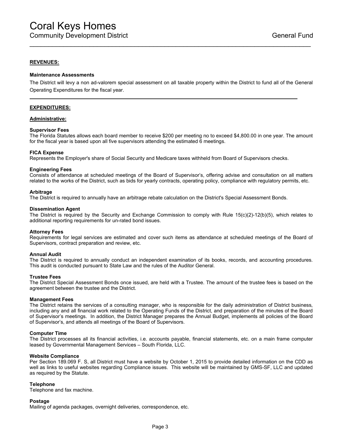#### **REVENUES:**

#### **Maintenance Assessments**

The District will levy a non ad-valorem special assessment on all taxable property within the District to fund all of the General Operating Expenditures for the fiscal year.

\_\_\_\_\_\_\_\_\_\_\_\_\_\_\_\_\_\_\_\_\_\_\_\_\_\_\_\_\_\_\_\_\_\_\_\_\_\_\_\_\_\_\_\_\_\_\_\_\_\_\_\_\_\_\_\_\_\_\_\_\_\_\_\_\_\_\_\_\_\_\_\_\_\_\_

#### **EXPENDITURES:**

#### **Administrative:**

#### **Supervisor Fees**

The Florida Statutes allows each board member to receive \$200 per meeting no to exceed \$4,800.00 in one year. The amount for the fiscal year is based upon all five supervisors attending the estimated 6 meetings.

#### **FICA Expense**

Represents the Employer's share of Social Security and Medicare taxes withheld from Board of Supervisors checks.

#### **Engineering Fees**

Consists of attendance at scheduled meetings of the Board of Supervisor's, offering advise and consultation on all matters related to the works of the District, such as bids for yearly contracts, operating policy, compliance with regulatory permits, etc.

#### **Arbitrage**

The District is required to annually have an arbitrage rebate calculation on the District's Special Assessment Bonds.

#### **Dissemination Agent**

The District is required by the Security and Exchange Commission to comply with Rule 15(c)(2)-12(b)(5), which relates to additional reporting requirements for un-rated bond issues.

#### **Attorney Fees**

Requirements for legal services are estimated and cover such items as attendance at scheduled meetings of the Board of Supervisors, contract preparation and review, etc.

#### **Annual Audit**

The District is required to annually conduct an independent examination of its books, records, and accounting procedures. This audit is conducted pursuant to State Law and the rules of the Auditor General.

#### **Trustee Fees**

The District Special Assessment Bonds once issued, are held with a Trustee. The amount of the trustee fees is based on the agreement between the trustee and the District.

#### **Management Fees**

The District retains the services of a consulting manager, who is responsible for the daily administration of District business, including any and all financial work related to the Operating Funds of the District, and preparation of the minutes of the Board of Supervisor's meetings. In addition, the District Manager prepares the Annual Budget, implements all policies of the Board of Supervisor's, and attends all meetings of the Board of Supervisors.

#### **Computer Time**

The District processes all its financial activities, i.e. accounts payable, financial statements, etc. on a main frame computer leased by Governmental Management Services – South Florida, LLC.

#### **Website Compliance**

Per Section 189.069 F. S, all District must have a website by October 1, 2015 to provide detailed information on the CDD as well as links to useful websites regarding Compliance issues. This website will be maintained by GMS-SF, LLC and updated as required by the Statute.

#### **Telephone**

Telephone and fax machine.

#### **Postage**

Mailing of agenda packages, overnight deliveries, correspondence, etc.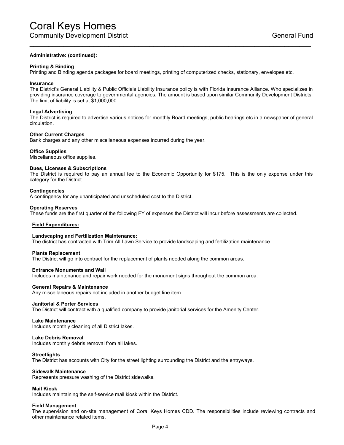#### **Administrative: (continued):**

#### **Printing & Binding**

Printing and Binding agenda packages for board meetings, printing of computerized checks, stationary, envelopes etc.

#### **Insurance**

The District's General Liability & Public Officials Liability Insurance policy is with Florida Insurance Alliance. Who specializes in providing insurance coverage to governmental agencies. The amount is based upon similar Community Development Districts. The limit of liability is set at \$1,000,000.

\_\_\_\_\_\_\_\_\_\_\_\_\_\_\_\_\_\_\_\_\_\_\_\_\_\_\_\_\_\_\_\_\_\_\_\_\_\_\_\_\_\_\_\_\_\_\_\_\_\_\_\_\_\_\_\_\_\_\_\_\_\_\_\_\_\_\_\_\_\_\_\_\_\_\_

#### **Legal Advertising**

The District is required to advertise various notices for monthly Board meetings, public hearings etc in a newspaper of general circulation.

#### **Other Current Charges**

Bank charges and any other miscellaneous expenses incurred during the year.

#### **Office Supplies**

Miscellaneous office supplies.

#### **Dues, Licenses & Subscriptions**

The District is required to pay an annual fee to the Economic Opportunity for \$175. This is the only expense under this category for the District.

#### **Contingencies**

A contingency for any unanticipated and unscheduled cost to the District.

#### **Operating Reserves**

These funds are the first quarter of the following FY of expenses the District will incur before assessments are collected.

#### **Field Expenditures:**

#### **Landscaping and Fertilization Maintenance:**

The district has contracted with Trim All Lawn Service to provide landscaping and fertilization maintenance.

#### **Plants Replacement**

The District will go into contract for the replacement of plants needed along the common areas.

#### **Entrance Monuments and Wall**

Includes maintenance and repair work needed for the monument signs throughout the common area.

#### **General Repairs & Maintenance**

Any miscellaneous repairs not included in another budget line item.

#### **Janitorial & Porter Services**

The District will contract with a qualified company to provide janitorial services for the Amenity Center.

#### **Lake Maintenance**

Includes monthly cleaning of all District lakes.

#### **Lake Debris Removal**

Includes monthly debris removal from all lakes.

#### **Streetlights**

The District has accounts with City for the street lighting surrounding the District and the entryways.

#### **Sidewalk Maintenance**

Represents pressure washing of the District sidewalks.

#### **Mail Kiosk**

Includes maintaining the self-service mail kiosk within the District.

#### **Field Management**

The supervision and on-site management of Coral Keys Homes CDD. The responsibilities include reviewing contracts and other maintenance related items.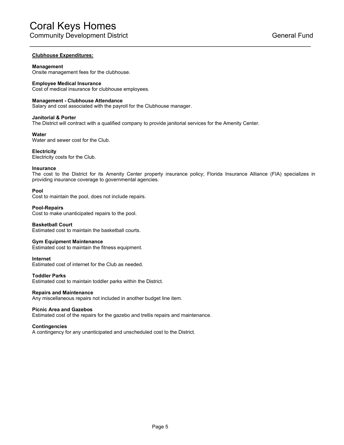### **Clubhouse Expenditures:**

#### **Management**

Onsite management fees for the clubhouse.

#### **Employee Medical Insurance**

Cost of medical insurance for clubhouse employees.

#### **Management - Clubhouse Attendance**

Salary and cost associated with the payroll for the Clubhouse manager.

#### **Janitorial & Porter**

The District will contract with a qualified company to provide janitorial services for the Amenity Center.

#### **Water**

Water and sewer cost for the Club.

#### **Electricity**

Electricity costs for the Club.

#### **Insurance**

The cost to the District for its Amenity Center property insurance policy; Florida Insurance Alliance (FIA) specializes in providing insurance coverage to governmental agencies.

\_\_\_\_\_\_\_\_\_\_\_\_\_\_\_\_\_\_\_\_\_\_\_\_\_\_\_\_\_\_\_\_\_\_\_\_\_\_\_\_\_\_\_\_\_\_\_\_\_\_\_\_\_\_\_\_\_\_\_\_\_\_\_\_\_\_\_\_\_\_\_\_\_\_\_

#### **Pool**

Cost to maintain the pool, does not include repairs.

#### **Pool-Repairs**

Cost to make unanticipated repairs to the pool.

#### **Basketball Court**

Estimated cost to maintain the basketball courts.

#### **Gym Equipment Maintenance**

Estimated cost to maintain the fitness equipment.

#### **Internet**

Estimated cost of internet for the Club as needed.

### **Toddler Parks**

Estimated cost to maintain toddler parks within the District.

#### **Repairs and Maintenance**

Any miscellaneous repairs not included in another budget line item.

#### **Picnic Area and Gazebos**

Estimated cost of the repairs for the gazebo and trellis repairs and maintenance.

#### **Contingencies**

A contingency for any unanticipated and unscheduled cost to the District.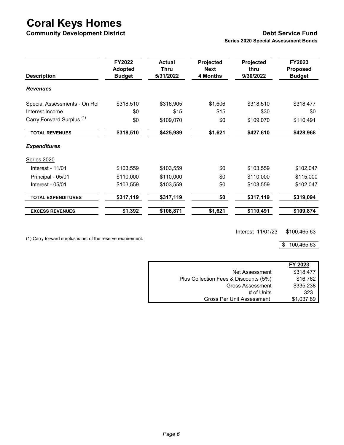**Community Development District Debt Service Fund**

**Series 2020 Special Assessment Bonds**

| <b>Description</b>                   | FY2022<br><b>Adopted</b><br><b>Budget</b> | <b>Actual</b><br><b>Thru</b><br>5/31/2022 | Projected<br><b>Next</b><br>4 Months | Projected<br>thru<br>9/30/2022 | FY2023<br><b>Proposed</b><br><b>Budget</b> |
|--------------------------------------|-------------------------------------------|-------------------------------------------|--------------------------------------|--------------------------------|--------------------------------------------|
| <b>Revenues</b>                      |                                           |                                           |                                      |                                |                                            |
| Special Assessments - On Roll        | \$318,510                                 | \$316,905                                 | \$1,606                              | \$318,510                      | \$318,477                                  |
| Interest Income                      | \$0                                       | \$15                                      | \$15                                 | \$30                           | \$0                                        |
| Carry Forward Surplus <sup>(1)</sup> | \$0                                       | \$109,070                                 | \$0                                  | \$109,070                      | \$110,491                                  |
| <b>TOTAL REVENUES</b>                | \$318,510                                 | \$425,989                                 | \$1,621                              | \$427,610                      | \$428,968                                  |
| <b>Expenditures</b>                  |                                           |                                           |                                      |                                |                                            |
| Series 2020                          |                                           |                                           |                                      |                                |                                            |
| Interest - 11/01                     | \$103,559                                 | \$103,559                                 | \$0                                  | \$103,559                      | \$102,047                                  |
| Principal - 05/01                    | \$110,000                                 | \$110,000                                 | \$0                                  | \$110,000                      | \$115,000                                  |
| Interest - 05/01                     | \$103,559                                 | \$103,559                                 | \$0                                  | \$103,559                      | \$102,047                                  |
| <b>TOTAL EXPENDITURES</b>            | \$317,119                                 | \$317,119                                 | \$0                                  | \$317,119                      | \$319,094                                  |
| <b>EXCESS REVENUES</b>               | \$1,392                                   | \$108,871                                 | \$1,621                              | \$110,491                      | \$109,874                                  |

Interest 11/01/23 \$100,465.63

(1) Carry forward surplus is net of the reserve requirement.

 $$ 100,465.63$ 

|                                       | FY 2023    |
|---------------------------------------|------------|
| Net Assessment                        | \$318,477  |
| Plus Collection Fees & Discounts (5%) | \$16,762   |
| <b>Gross Assessment</b>               | \$335,238  |
| # of Units                            | 323        |
| <b>Gross Per Unit Assessment</b>      | \$1,037.89 |